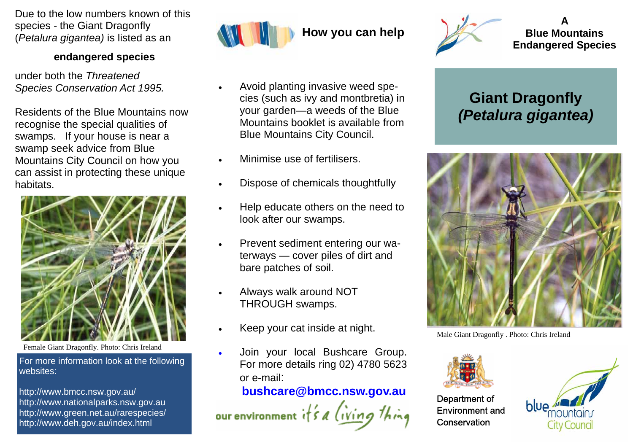Due to the low numbers known of this species *-* the Giant Dragonfly (*Petalura gigantea)* is listed as an

#### **endangered species**

under both the *Threatened Species Conservation Act 1995.* 

Residents of the Blue Mountains now recognise the special qualities of swamps. If your house is near a swamp seek advice from Blue Mountains City Council on how you can assist in protecting these unique habitats.



Female Giant Dragonfly. Photo: Chris Ireland

For more information look at the following websites:

http://www.bmcc.nsw.gov.au/ http://www.nationalparks.nsw.gov.au http://www.green.net.au/rarespecies/ http://www.deh.gov.au/index.html



- Avoid planting invasive weed species (such as ivy and montbretia) in your garden—a weeds of the Blue Mountains booklet is available from Blue Mountains City Council.
- Minimise use of fertilisers.
- Dispose of chemicals thoughtfully
- Help educate others on the need to look after our swamps.
- Prevent sediment entering our waterways — cover piles of dirt and bare patches of soil.
- Always walk around NOT THROUGH swamps.
- Keep your cat inside at night.
- Join your local Bushcare Group. For more details ring 02) 4780 5623 or e-mail:

### **bushcare@bmcc.nsw.gov.au**

our environment  $i \nmid s$  a *(ivin*)



**A Blue Mountains Endangered Species** 

# **Giant Dragonfly**  *(Petalura gigantea)*



Male Giant Dragonfly . Photo: Chris Ireland



Department of Environment and **Conservation**